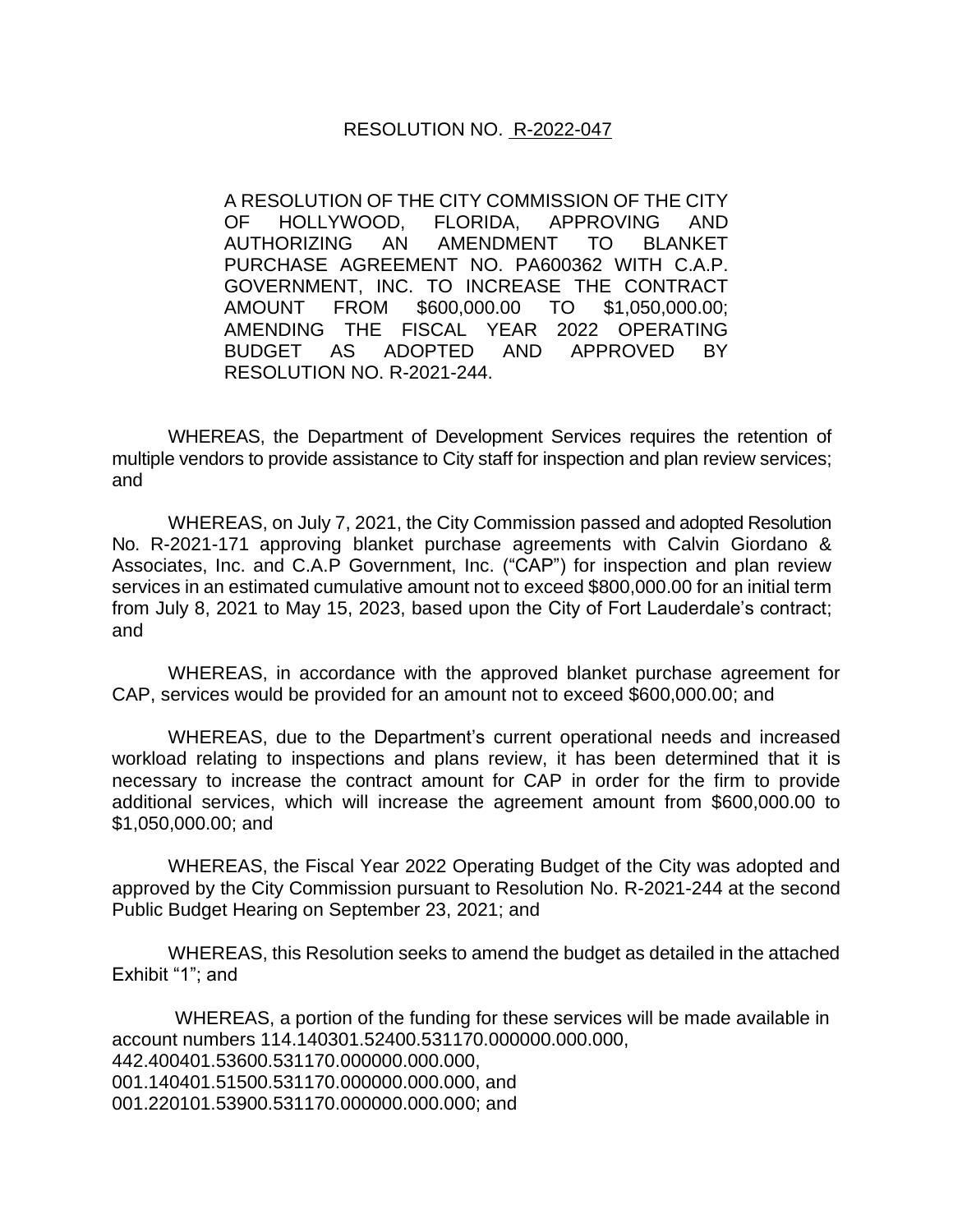## RESOLUTION NO. R-2022-047

A RESOLUTION OF THE CITY COMMISSION OF THE CITY OF HOLLYWOOD, FLORIDA, APPROVING AND AUTHORIZING AN AMENDMENT TO BLANKET PURCHASE AGREEMENT NO. PA600362 WITH C.A.P. GOVERNMENT, INC. TO INCREASE THE CONTRACT AMOUNT FROM \$600,000.00 TO \$1,050,000.00; AMENDING THE FISCAL YEAR 2022 OPERATING BUDGET AS ADOPTED AND APPROVED BY RESOLUTION NO. R-2021-244.

WHEREAS, the Department of Development Services requires the retention of multiple vendors to provide assistance to City staff for inspection and plan review services; and

WHEREAS, on July 7, 2021, the City Commission passed and adopted Resolution No. R-2021-171 approving blanket purchase agreements with Calvin Giordano & Associates, Inc. and C.A.P Government, Inc. ("CAP") for inspection and plan review services in an estimated cumulative amount not to exceed \$800,000.00 for an initial term from July 8, 2021 to May 15, 2023, based upon the City of Fort Lauderdale's contract; and

WHEREAS, in accordance with the approved blanket purchase agreement for CAP, services would be provided for an amount not to exceed \$600,000.00; and

WHEREAS, due to the Department's current operational needs and increased workload relating to inspections and plans review, it has been determined that it is necessary to increase the contract amount for CAP in order for the firm to provide additional services, which will increase the agreement amount from \$600,000.00 to \$1,050,000.00; and

WHEREAS, the Fiscal Year 2022 Operating Budget of the City was adopted and approved by the City Commission pursuant to Resolution No. R-2021-244 at the second Public Budget Hearing on September 23, 2021; and

WHEREAS, this Resolution seeks to amend the budget as detailed in the attached Exhibit "1"; and

WHEREAS, a portion of the funding for these services will be made available in account numbers 114.140301.52400.531170.000000.000.000, 442.400401.53600.531170.000000.000.000, 001.140401.51500.531170.000000.000.000, and 001.220101.53900.531170.000000.000.000; and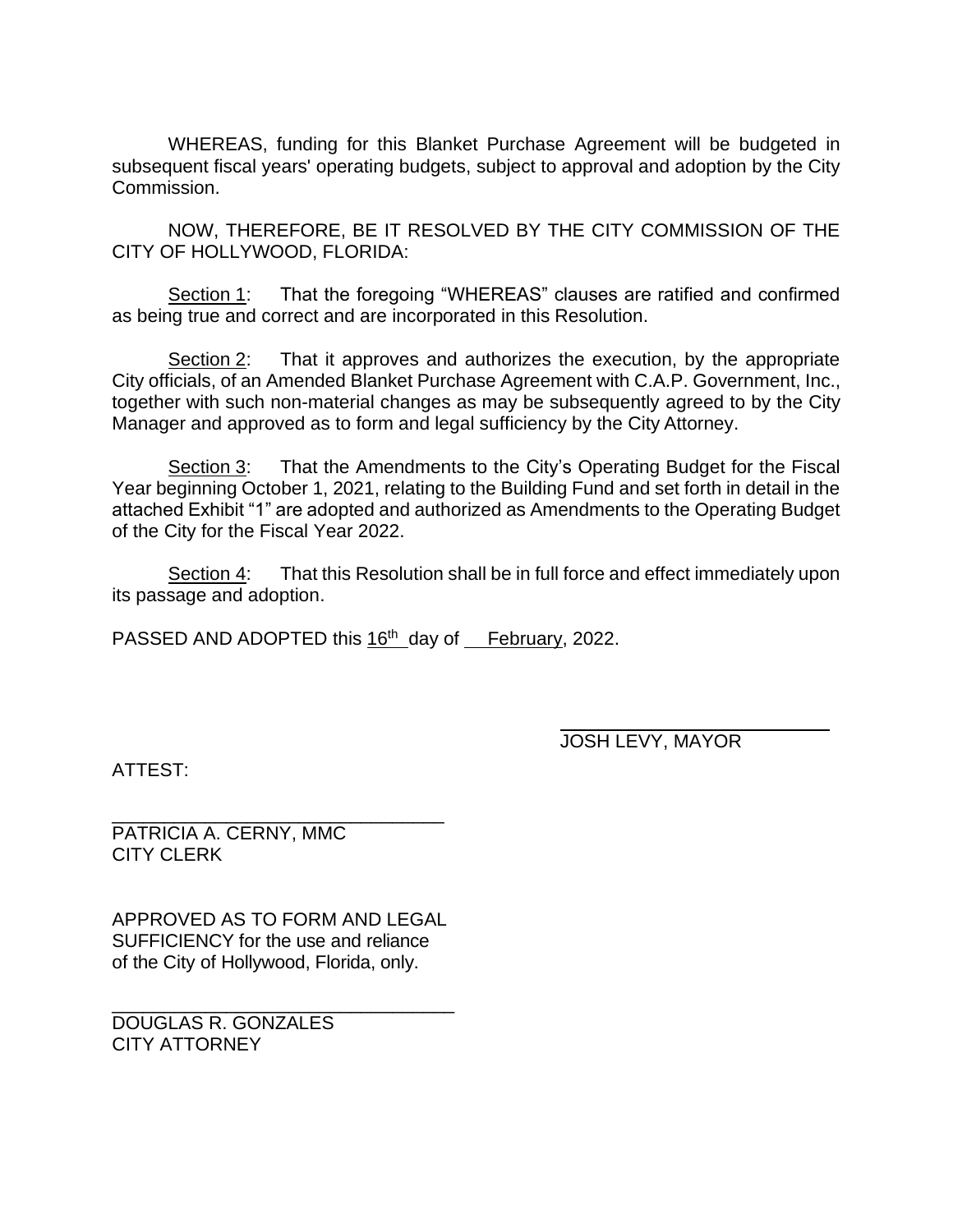WHEREAS, funding for this Blanket Purchase Agreement will be budgeted in subsequent fiscal years' operating budgets, subject to approval and adoption by the City Commission.

NOW, THEREFORE, BE IT RESOLVED BY THE CITY COMMISSION OF THE CITY OF HOLLYWOOD, FLORIDA:

Section 1: That the foregoing "WHEREAS" clauses are ratified and confirmed as being true and correct and are incorporated in this Resolution.

Section 2: That it approves and authorizes the execution, by the appropriate City officials, of an Amended Blanket Purchase Agreement with C.A.P. Government, Inc., together with such non-material changes as may be subsequently agreed to by the City Manager and approved as to form and legal sufficiency by the City Attorney.

Section 3: That the Amendments to the City's Operating Budget for the Fiscal Year beginning October 1, 2021, relating to the Building Fund and set forth in detail in the attached Exhibit "1" are adopted and authorized as Amendments to the Operating Budget of the City for the Fiscal Year 2022.

Section 4: That this Resolution shall be in full force and effect immediately upon its passage and adoption.

PASSED AND ADOPTED this 16<sup>th</sup> day of February, 2022.

JOSH LEVY, MAYOR

ATTEST:

\_\_\_\_\_\_\_\_\_\_\_\_\_\_\_\_\_\_\_\_\_\_\_\_\_\_\_\_\_\_\_\_ PATRICIA A. CERNY, MMC CITY CLERK

APPROVED AS TO FORM AND LEGAL SUFFICIENCY for the use and reliance of the City of Hollywood, Florida, only.

\_\_\_\_\_\_\_\_\_\_\_\_\_\_\_\_\_\_\_\_\_\_\_\_\_\_\_\_\_\_\_\_\_ DOUGLAS R. GONZALES CITY ATTORNEY